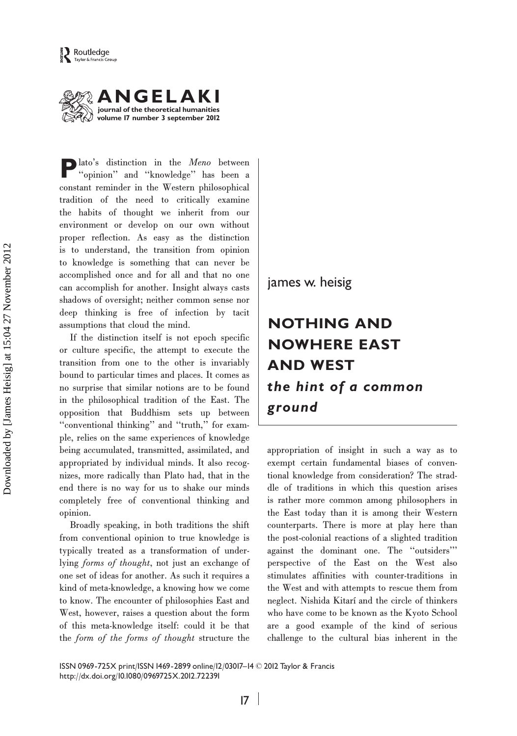



Plato's distinction in the Meno between ''opinion'' and ''knowledge'' has been a constant reminder in the Western philosophical tradition of the need to critically examine the habits of thought we inherit from our environment or develop on our own without proper reflection. As easy as the distinction is to understand, the transition from opinion to knowledge is something that can never be accomplished once and for all and that no one can accomplish for another. Insight always casts shadows of oversight; neither common sense nor deep thinking is free of infection by tacit assumptions that cloud the mind.

If the distinction itself is not epoch specific or culture specific, the attempt to execute the transition from one to the other is invariably bound to particular times and places. It comes as no surprise that similar notions are to be found in the philosophical tradition of the East. The opposition that Buddhism sets up between ''conventional thinking'' and ''truth,'' for example, relies on the same experiences of knowledge being accumulated, transmitted, assimilated, and appropriated by individual minds. It also recognizes, more radically than Plato had, that in the end there is no way for us to shake our minds completely free of conventional thinking and opinion.

Broadly speaking, in both traditions the shift from conventional opinion to true knowledge is typically treated as a transformation of underlying forms of thought, not just an exchange of one set of ideas for another. As such it requires a kind of meta-knowledge, a knowing how we come to know. The encounter of philosophies East and West, however, raises a question about the form of this meta-knowledge itself: could it be that the form of the forms of thought structure the james w. heisig

# NOTHING AND NOWHERE EAST AND WEST the hint of a common ground

appropriation of insight in such a way as to exempt certain fundamental biases of conventional knowledge from consideration? The straddle of traditions in which this question arises is rather more common among philosophers in the East today than it is among their Western counterparts. There is more at play here than the post-colonial reactions of a slighted tradition against the dominant one. The ''outsiders''' perspective of the East on the West also stimulates affinities with counter-traditions in the West and with attempts to rescue them from neglect. Nishida Kitarí and the circle of thinkers who have come to be known as the Kyoto School are a good example of the kind of serious challenge to the cultural bias inherent in the

ISSN 0969-725X print/ISSN 1469-2899 online/12/03017–14 © 2012 Taylor & Francis http://dx.doi.org/10.1080/0969725X.2012.722391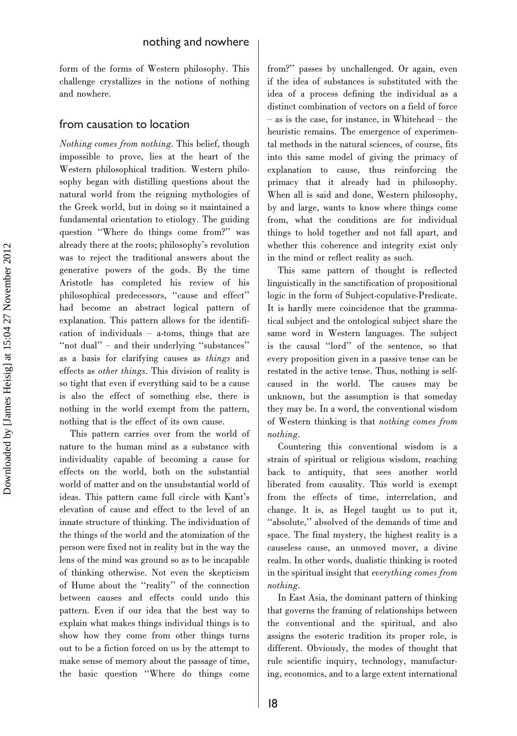form of the forms of Western philosophy. This challenge crystallizes in the notions of nothing and nowhere.

#### from causation to location

Nothing comes from nothing. This belief, though impossible to prove, lies at the heart of the Western philosophical tradition. Western philosophy began with distilling questions about the natural world from the reigning mythologies of the Greek world, but in doing so it maintained a fundamental orientation to etiology. The guiding question ''Where do things come from?'' was already there at the roots; philosophy's revolution was to reject the traditional answers about the generative powers of the gods. By the time Aristotle has completed his review of his philosophical predecessors, ''cause and effect'' had become an abstract logical pattern of explanation. This pattern allows for the identification of individuals – a-toms, things that are ''not dual'' – and their underlying ''substances'' as a basis for clarifying causes as things and effects as other things. This division of reality is so tight that even if everything said to be a cause is also the effect of something else, there is nothing in the world exempt from the pattern, nothing that is the effect of its own cause.

This pattern carries over from the world of nature to the human mind as a substance with individuality capable of becoming a cause for effects on the world, both on the substantial world of matter and on the unsubstantial world of ideas. This pattern came full circle with Kant's elevation of cause and effect to the level of an innate structure of thinking. The individuation of the things of the world and the atomization of the person were fixed not in reality but in the way the lens of the mind was ground so as to be incapable of thinking otherwise. Not even the skepticism of Hume about the ''reality'' of the connection between causes and effects could undo this pattern. Even if our idea that the best way to explain what makes things individual things is to show how they come from other things turns out to be a fiction forced on us by the attempt to make sense of memory about the passage of time, the basic question ''Where do things come

from?'' passes by unchallenged. Or again, even if the idea of substances is substituted with the idea of a process defining the individual as a distinct combination of vectors on a field of force – as is the case, for instance, in Whitehead – the heuristic remains. The emergence of experimental methods in the natural sciences, of course, fits into this same model of giving the primacy of explanation to cause, thus reinforcing the primacy that it already had in philosophy. When all is said and done, Western philosophy, by and large, wants to know where things come from, what the conditions are for individual things to hold together and not fall apart, and whether this coherence and integrity exist only in the mind or reflect reality as such.

This same pattern of thought is reflected linguistically in the sanctification of propositional logic in the form of Subject-copulative-Predicate. It is hardly mere coincidence that the grammatical subject and the ontological subject share the same word in Western languages. The subject is the causal ''lord'' of the sentence, so that every proposition given in a passive tense can be restated in the active tense. Thus, nothing is selfcaused in the world. The causes may be unknown, but the assumption is that someday they may be. In a word, the conventional wisdom of Western thinking is that nothing comes from nothing.

Countering this conventional wisdom is a strain of spiritual or religious wisdom, reaching back to antiquity, that sees another world liberated from causality. This world is exempt from the effects of time, interrelation, and change. It is, as Hegel taught us to put it, ''absolute,'' absolved of the demands of time and space. The final mystery, the highest reality is a causeless cause, an unmoved mover, a divine realm. In other words, dualistic thinking is rooted in the spiritual insight that everything comes from nothing.

In East Asia, the dominant pattern of thinking that governs the framing of relationships between the conventional and the spiritual, and also assigns the esoteric tradition its proper role, is different. Obviously, the modes of thought that rule scientific inquiry, technology, manufacturing, economics, and to a large extent international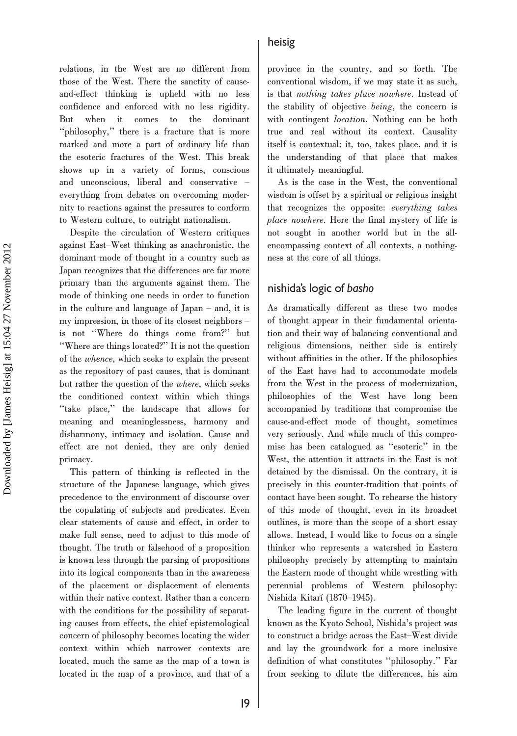relations, in the West are no different from those of the West. There the sanctity of causeand-effect thinking is upheld with no less confidence and enforced with no less rigidity. But when it comes to the dominant ''philosophy,'' there is a fracture that is more marked and more a part of ordinary life than the esoteric fractures of the West. This break shows up in a variety of forms, conscious and unconscious, liberal and conservative – everything from debates on overcoming modernity to reactions against the pressures to conform to Western culture, to outright nationalism.

Despite the circulation of Western critiques against East–West thinking as anachronistic, the dominant mode of thought in a country such as Japan recognizes that the differences are far more primary than the arguments against them. The mode of thinking one needs in order to function in the culture and language of Japan – and, it is my impression, in those of its closest neighbors – is not ''Where do things come from?'' but ''Where are things located?'' It is not the question of the whence, which seeks to explain the present as the repository of past causes, that is dominant but rather the question of the where, which seeks the conditioned context within which things ''take place,'' the landscape that allows for meaning and meaninglessness, harmony and disharmony, intimacy and isolation. Cause and effect are not denied, they are only denied primacy.

This pattern of thinking is reflected in the structure of the Japanese language, which gives precedence to the environment of discourse over the copulating of subjects and predicates. Even clear statements of cause and effect, in order to make full sense, need to adjust to this mode of thought. The truth or falsehood of a proposition is known less through the parsing of propositions into its logical components than in the awareness of the placement or displacement of elements within their native context. Rather than a concern with the conditions for the possibility of separating causes from effects, the chief epistemological concern of philosophy becomes locating the wider context within which narrower contexts are located, much the same as the map of a town is located in the map of a province, and that of a

#### heisig

province in the country, and so forth. The conventional wisdom, if we may state it as such, is that nothing takes place nowhere. Instead of the stability of objective being, the concern is with contingent *location*. Nothing can be both true and real without its context. Causality itself is contextual; it, too, takes place, and it is the understanding of that place that makes it ultimately meaningful.

As is the case in the West, the conventional wisdom is offset by a spiritual or religious insight that recognizes the opposite: everything takes place nowhere. Here the final mystery of life is not sought in another world but in the allencompassing context of all contexts, a nothingness at the core of all things.

### nishida's logic of basho

As dramatically different as these two modes of thought appear in their fundamental orientation and their way of balancing conventional and religious dimensions, neither side is entirely without affinities in the other. If the philosophies of the East have had to accommodate models from the West in the process of modernization, philosophies of the West have long been accompanied by traditions that compromise the cause-and-effect mode of thought, sometimes very seriously. And while much of this compromise has been catalogued as ''esoteric'' in the West, the attention it attracts in the East is not detained by the dismissal. On the contrary, it is precisely in this counter-tradition that points of contact have been sought. To rehearse the history of this mode of thought, even in its broadest outlines, is more than the scope of a short essay allows. Instead, I would like to focus on a single thinker who represents a watershed in Eastern philosophy precisely by attempting to maintain the Eastern mode of thought while wrestling with perennial problems of Western philosophy: Nishida Kitarí (1870–1945).

The leading figure in the current of thought known as the Kyoto School, Nishida's project was to construct a bridge across the East–West divide and lay the groundwork for a more inclusive definition of what constitutes ''philosophy.'' Far from seeking to dilute the differences, his aim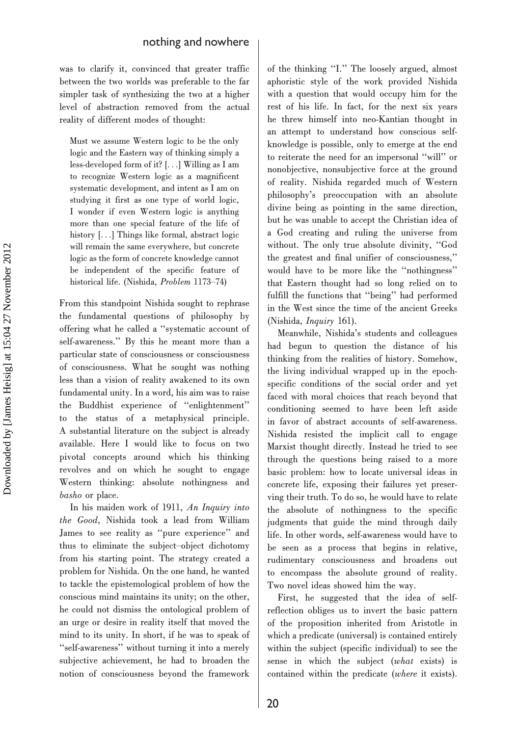was to clarify it, convinced that greater traffic between the two worlds was preferable to the far simpler task of synthesizing the two at a higher level of abstraction removed from the actual reality of different modes of thought:

Must we assume Western logic to be the only logic and the Eastern way of thinking simply a less-developed form of it? [...] Willing as I am to recognize Western logic as a magnificent systematic development, and intent as I am on studying it first as one type of world logic, I wonder if even Western logic is anything more than one special feature of the life of history [...] Things like formal, abstract logic will remain the same everywhere, but concrete logic as the form of concrete knowledge cannot be independent of the specific feature of historical life. (Nishida, Problem 1173–74)

From this standpoint Nishida sought to rephrase the fundamental questions of philosophy by offering what he called a ''systematic account of self-awareness.'' By this he meant more than a particular state of consciousness or consciousness of consciousness. What he sought was nothing less than a vision of reality awakened to its own fundamental unity. In a word, his aim was to raise the Buddhist experience of ''enlightenment'' to the status of a metaphysical principle. A substantial literature on the subject is already available. Here I would like to focus on two pivotal concepts around which his thinking revolves and on which he sought to engage Western thinking: absolute nothingness and basho or place.

In his maiden work of 1911, An Inquiry into the Good, Nishida took a lead from William James to see reality as ''pure experience'' and thus to eliminate the subject–object dichotomy from his starting point. The strategy created a problem for Nishida. On the one hand, he wanted to tackle the epistemological problem of how the conscious mind maintains its unity; on the other, he could not dismiss the ontological problem of an urge or desire in reality itself that moved the mind to its unity. In short, if he was to speak of ''self-awareness'' without turning it into a merely subjective achievement, he had to broaden the notion of consciousness beyond the framework

of the thinking ''I.'' The loosely argued, almost aphoristic style of the work provided Nishida with a question that would occupy him for the rest of his life. In fact, for the next six years he threw himself into neo-Kantian thought in an attempt to understand how conscious selfknowledge is possible, only to emerge at the end to reiterate the need for an impersonal ''will'' or nonobjective, nonsubjective force at the ground of reality. Nishida regarded much of Western philosophy's preoccupation with an absolute divine being as pointing in the same direction, but he was unable to accept the Christian idea of a God creating and ruling the universe from without. The only true absolute divinity, ''God the greatest and final unifier of consciousness,'' would have to be more like the ''nothingness'' that Eastern thought had so long relied on to fulfill the functions that ''being'' had performed in the West since the time of the ancient Greeks (Nishida, Inquiry 161).

Meanwhile, Nishida's students and colleagues had begun to question the distance of his thinking from the realities of history. Somehow, the living individual wrapped up in the epochspecific conditions of the social order and yet faced with moral choices that reach beyond that conditioning seemed to have been left aside in favor of abstract accounts of self-awareness. Nishida resisted the implicit call to engage Marxist thought directly. Instead he tried to see through the questions being raised to a more basic problem: how to locate universal ideas in concrete life, exposing their failures yet preserving their truth. To do so, he would have to relate the absolute of nothingness to the specific judgments that guide the mind through daily life. In other words, self-awareness would have to be seen as a process that begins in relative, rudimentary consciousness and broadens out to encompass the absolute ground of reality. Two novel ideas showed him the way.

First, he suggested that the idea of selfreflection obliges us to invert the basic pattern of the proposition inherited from Aristotle in which a predicate (universal) is contained entirely within the subject (specific individual) to see the sense in which the subject (what exists) is contained within the predicate (where it exists).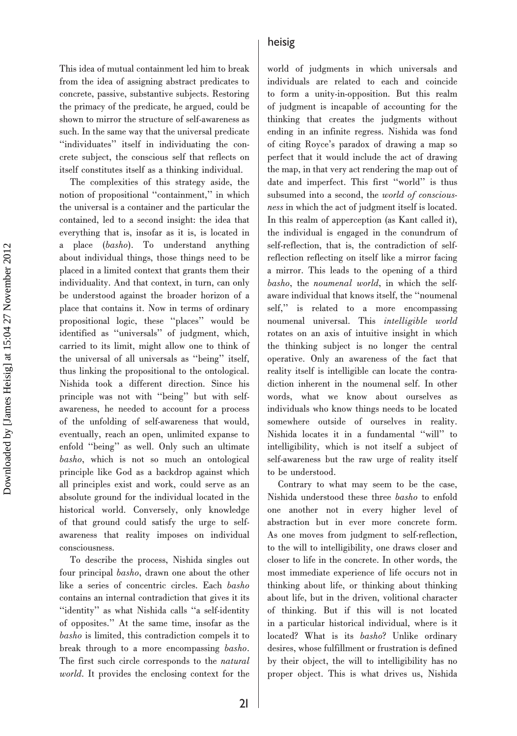This idea of mutual containment led him to break from the idea of assigning abstract predicates to concrete, passive, substantive subjects. Restoring the primacy of the predicate, he argued, could be shown to mirror the structure of self-awareness as such. In the same way that the universal predicate ''individuates'' itself in individuating the concrete subject, the conscious self that reflects on itself constitutes itself as a thinking individual.

The complexities of this strategy aside, the notion of propositional ''containment,'' in which the universal is a container and the particular the contained, led to a second insight: the idea that everything that is, insofar as it is, is located in a place (basho). To understand anything about individual things, those things need to be placed in a limited context that grants them their individuality. And that context, in turn, can only be understood against the broader horizon of a place that contains it. Now in terms of ordinary propositional logic, these ''places'' would be identified as ''universals'' of judgment, which, carried to its limit, might allow one to think of the universal of all universals as ''being'' itself, thus linking the propositional to the ontological. Nishida took a different direction. Since his principle was not with ''being'' but with selfawareness, he needed to account for a process of the unfolding of self-awareness that would, eventually, reach an open, unlimited expanse to enfold ''being'' as well. Only such an ultimate basho, which is not so much an ontological principle like God as a backdrop against which all principles exist and work, could serve as an absolute ground for the individual located in the historical world. Conversely, only knowledge of that ground could satisfy the urge to selfawareness that reality imposes on individual consciousness.

To describe the process, Nishida singles out four principal basho, drawn one about the other like a series of concentric circles. Each basho contains an internal contradiction that gives it its ''identity'' as what Nishida calls ''a self-identity of opposites.'' At the same time, insofar as the basho is limited, this contradiction compels it to break through to a more encompassing basho. The first such circle corresponds to the natural world. It provides the enclosing context for the

#### heisig

world of judgments in which universals and individuals are related to each and coincide to form a unity-in-opposition. But this realm of judgment is incapable of accounting for the thinking that creates the judgments without ending in an infinite regress. Nishida was fond of citing Royce's paradox of drawing a map so perfect that it would include the act of drawing the map, in that very act rendering the map out of date and imperfect. This first ''world'' is thus subsumed into a second, the world of consciousness in which the act of judgment itself is located. In this realm of apperception (as Kant called it), the individual is engaged in the conundrum of self-reflection, that is, the contradiction of selfreflection reflecting on itself like a mirror facing a mirror. This leads to the opening of a third basho, the noumenal world, in which the selfaware individual that knows itself, the ''noumenal self,'' is related to a more encompassing noumenal universal. This intelligible world rotates on an axis of intuitive insight in which the thinking subject is no longer the central operative. Only an awareness of the fact that reality itself is intelligible can locate the contradiction inherent in the noumenal self. In other words, what we know about ourselves as individuals who know things needs to be located somewhere outside of ourselves in reality. Nishida locates it in a fundamental ''will'' to intelligibility, which is not itself a subject of self-awareness but the raw urge of reality itself to be understood.

Contrary to what may seem to be the case, Nishida understood these three basho to enfold one another not in every higher level of abstraction but in ever more concrete form. As one moves from judgment to self-reflection, to the will to intelligibility, one draws closer and closer to life in the concrete. In other words, the most immediate experience of life occurs not in thinking about life, or thinking about thinking about life, but in the driven, volitional character of thinking. But if this will is not located in a particular historical individual, where is it located? What is its basho? Unlike ordinary desires, whose fulfillment or frustration is defined by their object, the will to intelligibility has no proper object. This is what drives us, Nishida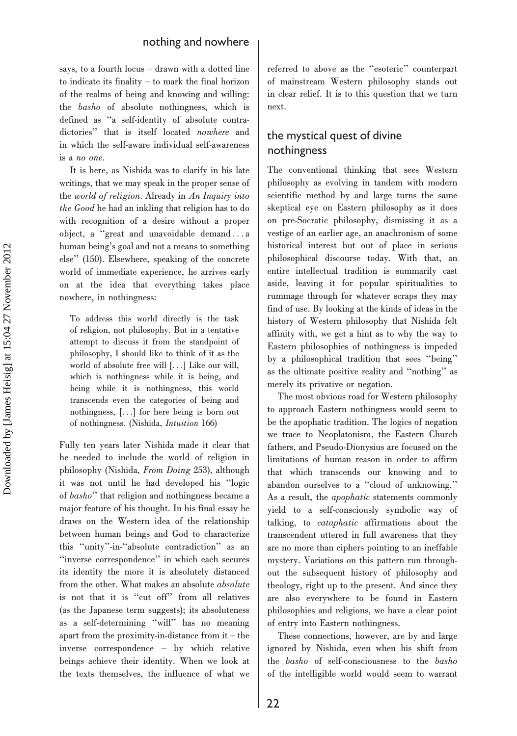says, to a fourth locus – drawn with a dotted line to indicate its finality – to mark the final horizon of the realms of being and knowing and willing: the basho of absolute nothingness, which is defined as ''a self-identity of absolute contradictories'' that is itself located nowhere and in which the self-aware individual self-awareness is a no one.

It is here, as Nishida was to clarify in his late writings, that we may speak in the proper sense of the world of religion. Already in An Inquiry into the Good he had an inkling that religion has to do with recognition of a desire without a proper object, a ''great and unavoidable demand ... a human being's goal and not a means to something else'' (150). Elsewhere, speaking of the concrete world of immediate experience, he arrives early on at the idea that everything takes place nowhere, in nothingness:

To address this world directly is the task of religion, not philosophy. But in a tentative attempt to discuss it from the standpoint of philosophy, I should like to think of it as the world of absolute free will [...] Like our will, which is nothingness while it is being, and being while it is nothingness, this world transcends even the categories of being and nothingness, [...] for here being is born out of nothingness. (Nishida, Intuition 166)

Fully ten years later Nishida made it clear that he needed to include the world of religion in philosophy (Nishida, From Doing 253), although it was not until he had developed his ''logic of basho'' that religion and nothingness became a major feature of his thought. In his final essay he draws on the Western idea of the relationship between human beings and God to characterize this ''unity''-in-''absolute contradiction'' as an ''inverse correspondence'' in which each secures its identity the more it is absolutely distanced from the other. What makes an absolute absolute is not that it is ''cut off'' from all relatives (as the Japanese term suggests); its absoluteness as a self-determining ''will'' has no meaning apart from the proximity-in-distance from it – the inverse correspondence – by which relative beings achieve their identity. When we look at the texts themselves, the influence of what we referred to above as the ''esoteric'' counterpart of mainstream Western philosophy stands out in clear relief. It is to this question that we turn next.

## the mystical quest of divine nothingness

The conventional thinking that sees Western philosophy as evolving in tandem with modern scientific method by and large turns the same skeptical eye on Eastern philosophy as it does on pre-Socratic philosophy, dismissing it as a vestige of an earlier age, an anachronism of some historical interest but out of place in serious philosophical discourse today. With that, an entire intellectual tradition is summarily cast aside, leaving it for popular spiritualities to rummage through for whatever scraps they may find of use. By looking at the kinds of ideas in the history of Western philosophy that Nishida felt affinity with, we get a hint as to why the way to Eastern philosophies of nothingness is impeded by a philosophical tradition that sees ''being'' as the ultimate positive reality and ''nothing'' as merely its privative or negation.

The most obvious road for Western philosophy to approach Eastern nothingness would seem to be the apophatic tradition. The logics of negation we trace to Neoplatonism, the Eastern Church fathers, and Pseudo-Dionysius are focused on the limitations of human reason in order to affirm that which transcends our knowing and to abandon ourselves to a ''cloud of unknowing.'' As a result, the apophatic statements commonly yield to a self-consciously symbolic way of talking, to cataphatic affirmations about the transcendent uttered in full awareness that they are no more than ciphers pointing to an ineffable mystery. Variations on this pattern run throughout the subsequent history of philosophy and theology, right up to the present. And since they are also everywhere to be found in Eastern philosophies and religions, we have a clear point of entry into Eastern nothingness.

These connections, however, are by and large ignored by Nishida, even when his shift from the basho of self-consciousness to the basho of the intelligible world would seem to warrant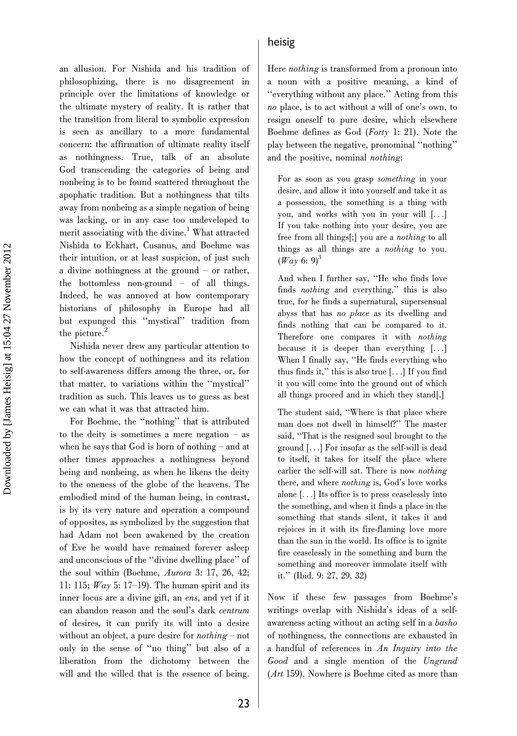an allusion. For Nishida and his tradition of philosophizing, there is no disagreement in principle over the limitations of knowledge or the ultimate mystery of reality. It is rather that the transition from literal to symbolic expression is seen as ancillary to a more fundamental concern: the affirmation of ultimate reality itself as nothingness. True, talk of an absolute God transcending the categories of being and nonbeing is to be found scattered throughout the apophatic tradition. But a nothingness that tilts away from nonbeing as a simple negation of being was lacking, or in any case too undeveloped to merit associating with the divine.<sup>1</sup> What attracted Nishida to Eckhart, Cusanus, and Boehme was their intuition, or at least suspicion, of just such a divine nothingness at the ground – or rather, the bottomless non-ground – of all things. Indeed, he was annoyed at how contemporary historians of philosophy in Europe had all but expunged this ''mystical'' tradition from the picture.<sup>2</sup>

Nishida never drew any particular attention to how the concept of nothingness and its relation to self-awareness differs among the three, or, for that matter, to variations within the ''mystical'' tradition as such. This leaves us to guess as best we can what it was that attracted him.

For Boehme, the ''nothing'' that is attributed to the deity is sometimes a mere negation – as when he says that God is born of nothing – and at other times approaches a nothingness beyond being and nonbeing, as when he likens the deity to the oneness of the globe of the heavens. The embodied mind of the human being, in contrast, is by its very nature and operation a compound of opposites, as symbolized by the suggestion that had Adam not been awakened by the creation of Eve he would have remained forever asleep and unconscious of the ''divine dwelling place'' of the soul within (Boehme, Aurora 3: 17, 26, 42; 11: 115;  $Way$  5: 17–19). The human spirit and its inner locus are a divine gift, an ens, and yet if it can abandon reason and the soul's dark centrum of desires, it can purify its will into a desire without an object, a pure desire for nothing – not only in the sense of ''no thing'' but also of a liberation from the dichotomy between the will and the willed that is the essence of being.

#### heisig

Here nothing is transformed from a pronoun into a noun with a positive meaning, a kind of ''everything without any place.'' Acting from this no place, is to act without a will of one's own, to resign oneself to pure desire, which elsewhere Boehme defines as God (Forty 1: 21). Note the play between the negative, pronominal ''nothing'' and the positive, nominal nothing:

For as soon as you grasp something in your desire, and allow it into yourself and take it as a possession, the something is a thing with you, and works with you in your will [...] If you take nothing into your desire, you are free from all things[;] you are a nothing to all things as all things are a nothing to you.  $(Way 6: 9)^3$ 

And when I further say, ''He who finds love finds nothing and everything,'' this is also true, for he finds a supernatural, supersensual abyss that has no place as its dwelling and finds nothing that can be compared to it. Therefore one compares it with nothing because it is deeper than everything [...] When I finally say, ''He finds everything who thus finds it,'' this is also true [...] If you find it you will come into the ground out of which all things proceed and in which they stand[.]

The student said, ''Where is that place where man does not dwell in himself?'' The master said, ''That is the resigned soul brought to the ground [...] For insofar as the self-will is dead to itself, it takes for itself the place where earlier the self-will sat. There is now nothing there, and where nothing is, God's love works alone [...] Its office is to press ceaselessly into the something, and when it finds a place in the something that stands silent, it takes it and rejoices in it with its fire-flaming love more than the sun in the world. Its office is to ignite fire ceaselessly in the something and burn the something and moreover immolate itself with it.'' (Ibid. 9: 27, 29, 32)

Now if these few passages from Boehme's writings overlap with Nishida's ideas of a selfawareness acting without an acting self in a basho of nothingness, the connections are exhausted in a handful of references in An Inquiry into the Good and a single mention of the Ungrund (Art 159). Nowhere is Boehme cited as more than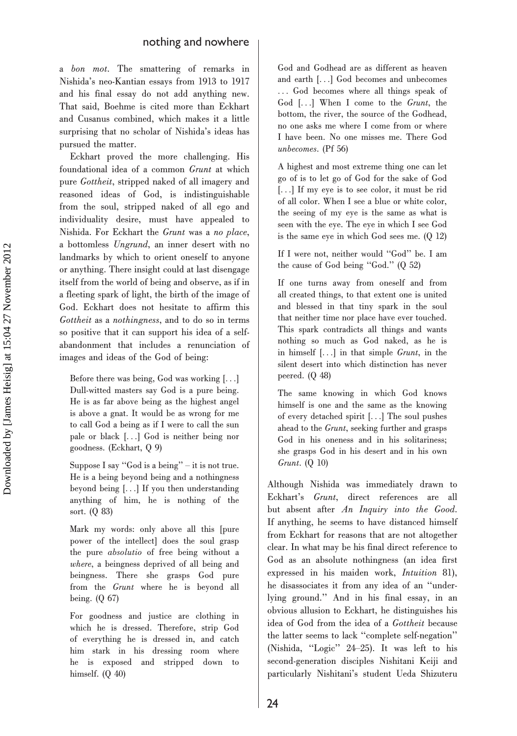a bon mot. The smattering of remarks in Nishida's neo-Kantian essays from 1913 to 1917 and his final essay do not add anything new. That said, Boehme is cited more than Eckhart and Cusanus combined, which makes it a little surprising that no scholar of Nishida's ideas has pursued the matter.

Eckhart proved the more challenging. His foundational idea of a common Grunt at which pure Gottheit, stripped naked of all imagery and reasoned ideas of God, is indistinguishable from the soul, stripped naked of all ego and individuality desire, must have appealed to Nishida. For Eckhart the Grunt was a no place, a bottomless Ungrund, an inner desert with no landmarks by which to orient oneself to anyone or anything. There insight could at last disengage itself from the world of being and observe, as if in a fleeting spark of light, the birth of the image of God. Eckhart does not hesitate to affirm this Gottheit as a nothingness, and to do so in terms so positive that it can support his idea of a selfabandonment that includes a renunciation of images and ideas of the God of being:

Before there was being, God was working [...] Dull-witted masters say God is a pure being. He is as far above being as the highest angel is above a gnat. It would be as wrong for me to call God a being as if I were to call the sun pale or black [...] God is neither being nor goodness. (Eckhart, Q 9)

Suppose I say ''God is a being'' – it is not true. He is a being beyond being and a nothingness beyond being [...] If you then understanding anything of him, he is nothing of the sort. (Q 83)

Mark my words: only above all this [pure power of the intellect] does the soul grasp the pure absolutio of free being without a where, a beingness deprived of all being and beingness. There she grasps God pure from the Grunt where he is beyond all being. (Q 67)

For goodness and justice are clothing in which he is dressed. Therefore, strip God of everything he is dressed in, and catch him stark in his dressing room where he is exposed and stripped down to himself. (Q 40)

God and Godhead are as different as heaven and earth [...] God becomes and unbecomes ... God becomes where all things speak of God [...] When I come to the Grunt, the bottom, the river, the source of the Godhead, no one asks me where I come from or where I have been. No one misses me. There God unbecomes. (Pf 56)

A highest and most extreme thing one can let go of is to let go of God for the sake of God [...] If my eye is to see color, it must be rid of all color. When I see a blue or white color, the seeing of my eye is the same as what is seen with the eye. The eye in which I see God is the same eye in which God sees me. (Q 12)

If I were not, neither would ''God'' be. I am the cause of God being ''God.'' (Q 52)

If one turns away from oneself and from all created things, to that extent one is united and blessed in that tiny spark in the soul that neither time nor place have ever touched. This spark contradicts all things and wants nothing so much as God naked, as he is in himself [...] in that simple Grunt, in the silent desert into which distinction has never peered. (Q 48)

The same knowing in which God knows himself is one and the same as the knowing of every detached spirit [...] The soul pushes ahead to the Grunt, seeking further and grasps God in his oneness and in his solitariness; she grasps God in his desert and in his own Grunt. (Q 10)

Although Nishida was immediately drawn to Eckhart's Grunt, direct references are all but absent after An Inquiry into the Good. If anything, he seems to have distanced himself from Eckhart for reasons that are not altogether clear. In what may be his final direct reference to God as an absolute nothingness (an idea first expressed in his maiden work, Intuition 81), he disassociates it from any idea of an ''underlying ground.'' And in his final essay, in an obvious allusion to Eckhart, he distinguishes his idea of God from the idea of a Gottheit because the latter seems to lack ''complete self-negation'' (Nishida, ''Logic'' 24–25). It was left to his second-generation disciples Nishitani Keiji and particularly Nishitani's student Ueda Shizuteru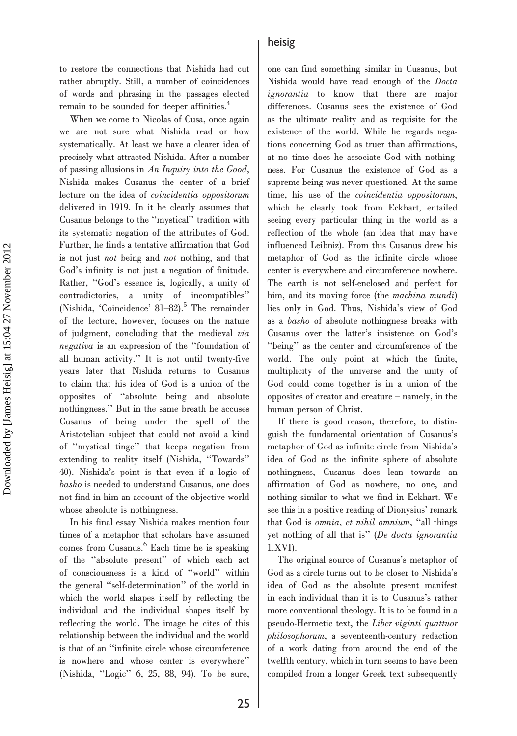to restore the connections that Nishida had cut rather abruptly. Still, a number of coincidences of words and phrasing in the passages elected remain to be sounded for deeper affinities.<sup>4</sup>

When we come to Nicolas of Cusa, once again we are not sure what Nishida read or how systematically. At least we have a clearer idea of precisely what attracted Nishida. After a number of passing allusions in An Inquiry into the Good, Nishida makes Cusanus the center of a brief lecture on the idea of coincidentia oppositorum delivered in 1919. In it he clearly assumes that Cusanus belongs to the ''mystical'' tradition with its systematic negation of the attributes of God. Further, he finds a tentative affirmation that God is not just not being and not nothing, and that God's infinity is not just a negation of finitude. Rather, ''God's essence is, logically, a unity of contradictories, a unity of incompatibles'' (Nishida, 'Coincidence' 81–82).<sup>5</sup> The remainder of the lecture, however, focuses on the nature of judgment, concluding that the medieval via negativa is an expression of the ''foundation of all human activity.'' It is not until twenty-five years later that Nishida returns to Cusanus to claim that his idea of God is a union of the opposites of ''absolute being and absolute nothingness.'' But in the same breath he accuses Cusanus of being under the spell of the Aristotelian subject that could not avoid a kind of ''mystical tinge'' that keeps negation from extending to reality itself (Nishida, ''Towards'' 40). Nishida's point is that even if a logic of basho is needed to understand Cusanus, one does not find in him an account of the objective world whose absolute is nothingness.

In his final essay Nishida makes mention four times of a metaphor that scholars have assumed comes from Cusanus.<sup>6</sup> Each time he is speaking of the ''absolute present'' of which each act of consciousness is a kind of ''world'' within the general ''self-determination'' of the world in which the world shapes itself by reflecting the individual and the individual shapes itself by reflecting the world. The image he cites of this relationship between the individual and the world is that of an ''infinite circle whose circumference is nowhere and whose center is everywhere'' (Nishida, ''Logic'' 6, 25, 88, 94). To be sure,

one can find something similar in Cusanus, but Nishida would have read enough of the Docta ignorantia to know that there are major differences. Cusanus sees the existence of God as the ultimate reality and as requisite for the existence of the world. While he regards negations concerning God as truer than affirmations, at no time does he associate God with nothingness. For Cusanus the existence of God as a supreme being was never questioned. At the same time, his use of the coincidentia oppositorum, which he clearly took from Eckhart, entailed seeing every particular thing in the world as a reflection of the whole (an idea that may have influenced Leibniz). From this Cusanus drew his metaphor of God as the infinite circle whose center is everywhere and circumference nowhere. The earth is not self-enclosed and perfect for him, and its moving force (the machina mundi) lies only in God. Thus, Nishida's view of God as a basho of absolute nothingness breaks with Cusanus over the latter's insistence on God's ''being'' as the center and circumference of the world. The only point at which the finite, multiplicity of the universe and the unity of God could come together is in a union of the opposites of creator and creature – namely, in the human person of Christ.

If there is good reason, therefore, to distinguish the fundamental orientation of Cusanus's metaphor of God as infinite circle from Nishida's idea of God as the infinite sphere of absolute nothingness, Cusanus does lean towards an affirmation of God as nowhere, no one, and nothing similar to what we find in Eckhart. We see this in a positive reading of Dionysius' remark that God is omnia, et nihil omnium, ''all things yet nothing of all that is'' (De docta ignorantia 1.XVI).

The original source of Cusanus's metaphor of God as a circle turns out to be closer to Nishida's idea of God as the absolute present manifest in each individual than it is to Cusanus's rather more conventional theology. It is to be found in a pseudo-Hermetic text, the Liber viginti quattuor philosophorum, a seventeenth-century redaction of a work dating from around the end of the twelfth century, which in turn seems to have been compiled from a longer Greek text subsequently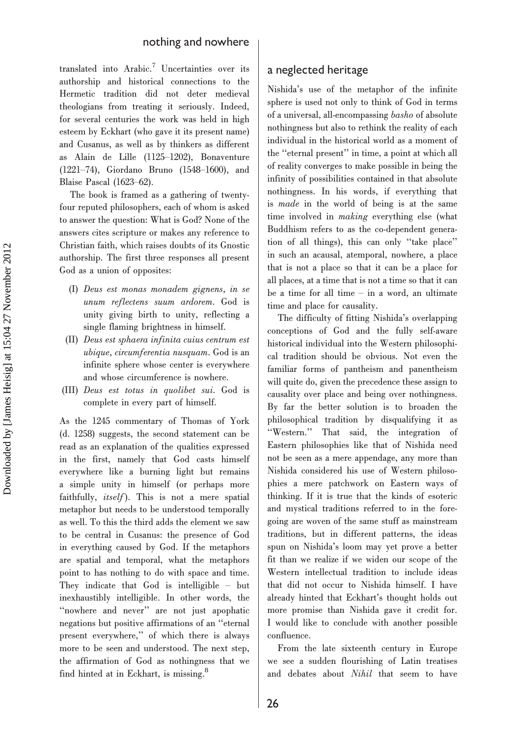translated into Arabic.<sup>7</sup> Uncertainties over its authorship and historical connections to the Hermetic tradition did not deter medieval theologians from treating it seriously. Indeed, for several centuries the work was held in high esteem by Eckhart (who gave it its present name) and Cusanus, as well as by thinkers as different as Alain de Lille (1125–1202), Bonaventure (1221–74), Giordano Bruno (1548–1600), and Blaise Pascal (1623–62).

The book is framed as a gathering of twentyfour reputed philosophers, each of whom is asked to answer the question: What is God? None of the answers cites scripture or makes any reference to Christian faith, which raises doubts of its Gnostic authorship. The first three responses all present God as a union of opposites:

- (I) Deus est monas monadem gignens, in se unum reflectens suum ardorem. God is unity giving birth to unity, reflecting a single flaming brightness in himself.
- (II) Deus est sphaera infinita cuius centrum est ubique, circumferentia nusquam. God is an infinite sphere whose center is everywhere and whose circumference is nowhere.
- (III) Deus est totus in quolibet sui. God is complete in every part of himself.

As the 1245 commentary of Thomas of York (d. 1258) suggests, the second statement can be read as an explanation of the qualities expressed in the first, namely that God casts himself everywhere like a burning light but remains a simple unity in himself (or perhaps more faithfully, itself). This is not a mere spatial metaphor but needs to be understood temporally as well. To this the third adds the element we saw to be central in Cusanus: the presence of God in everything caused by God. If the metaphors are spatial and temporal, what the metaphors point to has nothing to do with space and time. They indicate that God is intelligible – but inexhaustibly intelligible. In other words, the "nowhere and never" are not just apophatic negations but positive affirmations of an ''eternal present everywhere,'' of which there is always more to be seen and understood. The next step, the affirmation of God as nothingness that we find hinted at in Eckhart, is missing.8

### a neglected heritage

Nishida's use of the metaphor of the infinite sphere is used not only to think of God in terms of a universal, all-encompassing basho of absolute nothingness but also to rethink the reality of each individual in the historical world as a moment of the ''eternal present'' in time, a point at which all of reality converges to make possible in being the infinity of possibilities contained in that absolute nothingness. In his words, if everything that is made in the world of being is at the same time involved in making everything else (what Buddhism refers to as the co-dependent generation of all things), this can only ''take place'' in such an acausal, atemporal, nowhere, a place that is not a place so that it can be a place for all places, at a time that is not a time so that it can be a time for all time  $-$  in a word, an ultimate time and place for causality.

The difficulty of fitting Nishida's overlapping conceptions of God and the fully self-aware historical individual into the Western philosophical tradition should be obvious. Not even the familiar forms of pantheism and panentheism will quite do, given the precedence these assign to causality over place and being over nothingness. By far the better solution is to broaden the philosophical tradition by disqualifying it as ''Western.'' That said, the integration of Eastern philosophies like that of Nishida need not be seen as a mere appendage, any more than Nishida considered his use of Western philosophies a mere patchwork on Eastern ways of thinking. If it is true that the kinds of esoteric and mystical traditions referred to in the foregoing are woven of the same stuff as mainstream traditions, but in different patterns, the ideas spun on Nishida's loom may yet prove a better fit than we realize if we widen our scope of the Western intellectual tradition to include ideas that did not occur to Nishida himself. I have already hinted that Eckhart's thought holds out more promise than Nishida gave it credit for. I would like to conclude with another possible confluence.

From the late sixteenth century in Europe we see a sudden flourishing of Latin treatises and debates about Nihil that seem to have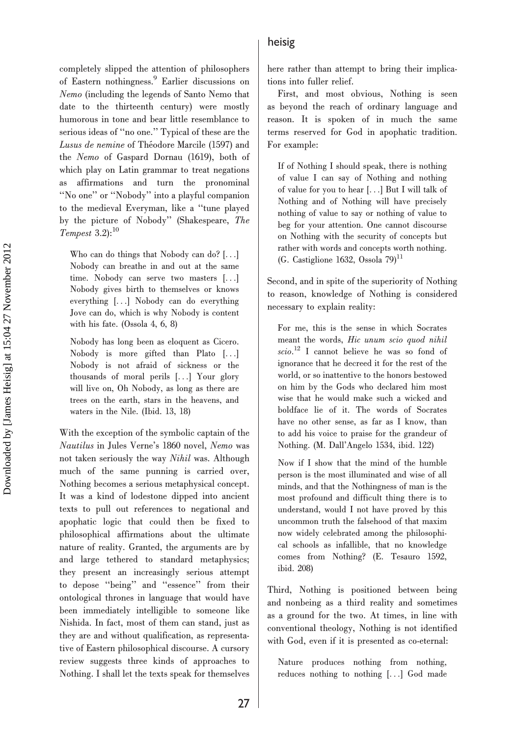completely slipped the attention of philosophers of Eastern nothingness.9 Earlier discussions on Nemo (including the legends of Santo Nemo that date to the thirteenth century) were mostly humorous in tone and bear little resemblance to serious ideas of ''no one.'' Typical of these are the Lusus de nemine of Théodore Marcile (1597) and the Nemo of Gaspard Dornau (1619), both of which play on Latin grammar to treat negations as affirmations and turn the pronominal ''No one'' or ''Nobody'' into a playful companion to the medieval Everyman, like a ''tune played by the picture of Nobody'' (Shakespeare, The Tempest  $3.2$ ):<sup>10</sup>

Who can do things that Nobody can do? [...] Nobody can breathe in and out at the same time. Nobody can serve two masters [...] Nobody gives birth to themselves or knows everything [...] Nobody can do everything Jove can do, which is why Nobody is content with his fate. (Ossola 4, 6, 8)

Nobody has long been as eloquent as Cicero. Nobody is more gifted than Plato [...] Nobody is not afraid of sickness or the thousands of moral perils [...] Your glory will live on, Oh Nobody, as long as there are trees on the earth, stars in the heavens, and waters in the Nile. (Ibid. 13, 18)

With the exception of the symbolic captain of the Nautilus in Jules Verne's 1860 novel, Nemo was not taken seriously the way Nihil was. Although much of the same punning is carried over, Nothing becomes a serious metaphysical concept. It was a kind of lodestone dipped into ancient texts to pull out references to negational and apophatic logic that could then be fixed to philosophical affirmations about the ultimate nature of reality. Granted, the arguments are by and large tethered to standard metaphysics; they present an increasingly serious attempt to depose ''being'' and ''essence'' from their ontological thrones in language that would have been immediately intelligible to someone like Nishida. In fact, most of them can stand, just as they are and without qualification, as representative of Eastern philosophical discourse. A cursory review suggests three kinds of approaches to Nothing. I shall let the texts speak for themselves

#### heisig

here rather than attempt to bring their implications into fuller relief.

First, and most obvious, Nothing is seen as beyond the reach of ordinary language and reason. It is spoken of in much the same terms reserved for God in apophatic tradition. For example:

If of Nothing I should speak, there is nothing of value I can say of Nothing and nothing of value for you to hear [...] But I will talk of Nothing and of Nothing will have precisely nothing of value to say or nothing of value to beg for your attention. One cannot discourse on Nothing with the security of concepts but rather with words and concepts worth nothing.  $(G.$  Castiglione 1632, Ossola 79 $)^{11}$ 

Second, and in spite of the superiority of Nothing to reason, knowledge of Nothing is considered necessary to explain reality:

For me, this is the sense in which Socrates meant the words, Hic unum scio quod nihil scio. <sup>12</sup> I cannot believe he was so fond of ignorance that he decreed it for the rest of the world, or so inattentive to the honors bestowed on him by the Gods who declared him most wise that he would make such a wicked and boldface lie of it. The words of Socrates have no other sense, as far as I know, than to add his voice to praise for the grandeur of Nothing. (M. Dall'Angelo 1534, ibid. 122)

Now if I show that the mind of the humble person is the most illuminated and wise of all minds, and that the Nothingness of man is the most profound and difficult thing there is to understand, would I not have proved by this uncommon truth the falsehood of that maxim now widely celebrated among the philosophical schools as infallible, that no knowledge comes from Nothing? (E. Tesauro 1592, ibid. 208)

Third, Nothing is positioned between being and nonbeing as a third reality and sometimes as a ground for the two. At times, in line with conventional theology, Nothing is not identified with God, even if it is presented as co-eternal:

Nature produces nothing from nothing, reduces nothing to nothing [...] God made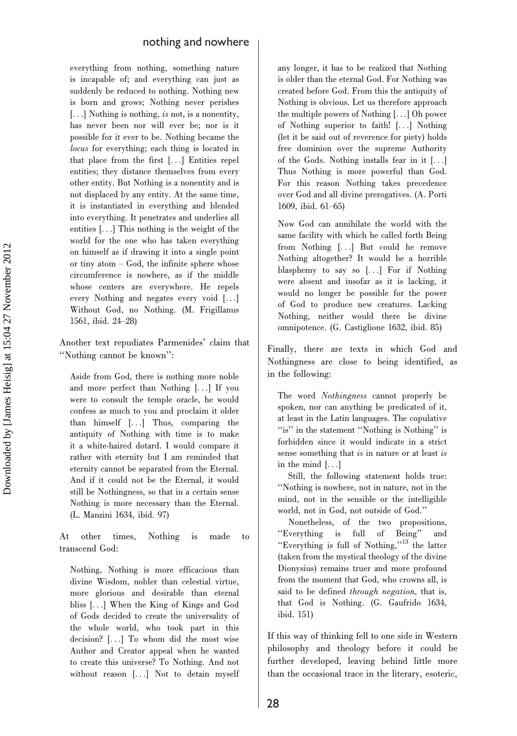everything from nothing, something nature is incapable of; and everything can just as suddenly be reduced to nothing. Nothing new is born and grows; Nothing never perishes [...] Nothing is nothing, *is* not, is a nonentity, has never been nor will ever be; nor is it possible for it ever to be. Nothing became the locus for everything; each thing is located in that place from the first [...] Entities repel entities; they distance themselves from every other entity. But Nothing is a nonentity and is not displaced by any entity. At the same time, it is instantiated in everything and blended into everything. It penetrates and underlies all entities [...] This nothing is the weight of the world for the one who has taken everything on himself as if drawing it into a single point or tiny atom – God, the infinite sphere whose circumference is nowhere, as if the middle whose centers are everywhere. He repels every Nothing and negates every void [...] Without God, no Nothing. (M. Frigillanus 1561, ibid. 24–28)

Another text repudiates Parmenides' claim that ''Nothing cannot be known'':

Aside from God, there is nothing more noble and more perfect than Nothing [...] If you were to consult the temple oracle, he would confess as much to you and proclaim it older than himself [...] Thus, comparing the antiquity of Nothing with time is to make it a white-haired dotard. I would compare it rather with eternity but I am reminded that eternity cannot be separated from the Eternal. And if it could not be the Eternal, it would still be Nothingness, so that in a certain sense Nothing is more necessary than the Eternal. (L. Manzini 1634, ibid. 97)

At other times, Nothing is made to transcend God:

Nothing, Nothing is more efficacious than divine Wisdom, nobler than celestial virtue, more glorious and desirable than eternal bliss [...] When the King of Kings and God of Gods decided to create the universality of the whole world, who took part in this decision? [...] To whom did the most wise Author and Creator appeal when he wanted to create this universe? To Nothing. And not without reason [...] Not to detain myself any longer, it has to be realized that Nothing is older than the eternal God. For Nothing was created before God. From this the antiquity of Nothing is obvious. Let us therefore approach the multiple powers of Nothing [...] Oh power of Nothing superior to faith! [...] Nothing (let it be said out of reverence for piety) holds free dominion over the supreme Authority of the Gods. Nothing installs fear in it [...] Thus Nothing is more powerful than God. For this reason Nothing takes precedence over God and all divine prerogatives. (A. Porti 1609, ibid. 61–65)

Now God can annihilate the world with the same facility with which he called forth Being from Nothing [...] But could he remove Nothing altogether? It would be a horrible blasphemy to say so [...] For if Nothing were absent and insofar as it is lacking, it would no longer be possible for the power of God to produce new creatures. Lacking Nothing, neither would there be divine omnipotence. (G. Castiglione 1632, ibid. 85)

Finally, there are texts in which God and Nothingness are close to being identified, as in the following:

The word Nothingness cannot properly be spoken, nor can anything be predicated of it, at least in the Latin languages. The copulative "is" in the statement "Nothing is Nothing" is forbidden since it would indicate in a strict sense something that is in nature or at least is in the mind [...]

Still, the following statement holds true: ''Nothing is nowhere, not in nature, not in the mind, not in the sensible or the intelligible world, not in God, not outside of God.''

Nonetheless, of the two propositions, ''Everything is full of Being'' and ''Everything is full of Nothing,''<sup>13</sup> the latter (taken from the mystical theology of the divine Dionysius) remains truer and more profound from the moment that God, who crowns all, is said to be defined *through negation*, that is, that God is Nothing. (G. Gaufrido 1634, ibid. 151)

If this way of thinking fell to one side in Western philosophy and theology before it could be further developed, leaving behind little more than the occasional trace in the literary, esoteric,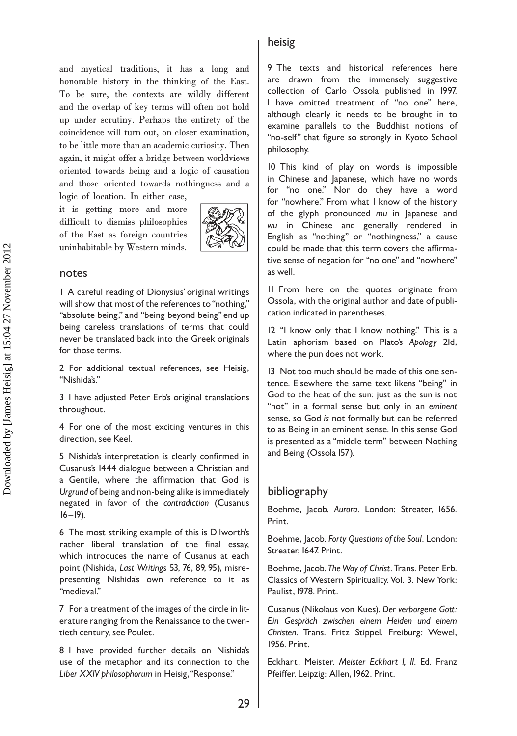and mystical traditions, it has a long and honorable history in the thinking of the East. To be sure, the contexts are wildly different and the overlap of key terms will often not hold up under scrutiny. Perhaps the entirety of the coincidence will turn out, on closer examination, to be little more than an academic curiosity. Then again, it might offer a bridge between worldviews oriented towards being and a logic of causation and those oriented towards nothingness and a logic of location. In either case,

it is getting more and more difficult to dismiss philosophies of the East as foreign countries uninhabitable by Western minds.



#### notes

1 A careful reading of Dionysius' original writings will show that most of the references to "nothing," "absolute being," and "being beyond being" end up being careless translations of terms that could never be translated back into the Greek originals for those terms.

2 For additional textual references, see Heisig, ''Nishida's.''

3 I have adjusted Peter Erb's original translations throughout.

4 For one of the most exciting ventures in this direction, see Keel.

5 Nishida's interpretation is clearly confirmed in Cusanus's 1444 dialogue between a Christian and a Gentile, where the affirmation that God is Urgrund of being and non-being alike is immediately negated in favor of the contradiction (Cusanus  $16 - 19$ ).

6 The most striking example of this is Dilworth's rather liberal translation of the final essay, which introduces the name of Cusanus at each point (Nishida, Last Writings 53, 76, 89, 95), misrepresenting Nishida's own reference to it as ''medieval.''

7 For a treatment of the images of the circle in literature ranging from the Renaissance to the twentieth century, see Poulet.

8 I have provided further details on Nishida's use of the metaphor and its connection to the Liber XXIV philosophorum in Heisig, "Response."

#### heisig

9 The texts and historical references here are drawn from the immensely suggestive collection of Carlo Ossola published in 1997. I have omitted treatment of "no one" here, although clearly it needs to be brought in to examine parallels to the Buddhist notions of "no-self" that figure so strongly in Kyoto School philosophy.

10 This kind of play on words is impossible in Chinese and Japanese, which have no words for ''no one.'' Nor do they have a word for "nowhere." From what I know of the history of the glyph pronounced mu in Japanese and wu in Chinese and generally rendered in English as ''nothing'' or ''nothingness,'' a cause could be made that this term covers the affirmative sense of negation for ''no one'' and ''nowhere'' as well.

11 From here on the quotes originate from Ossola, with the original author and date of publication indicated in parentheses.

12 ''I know only that I know nothing.'' This is a Latin aphorism based on Plato's Apology 21d, where the pun does not work.

13 Not too much should be made of this one sentence. Elsewhere the same text likens "being" in God to the heat of the sun: just as the sun is not "hot" in a formal sense but only in an eminent sense, so God is not formally but can be referred to as Being in an eminent sense. In this sense God is presented as a ''middle term'' between Nothing and Being (Ossola 157).

#### bibliography

Boehme, Jacob. Aurora. London: Streater, 1656. Print.

Boehme, Jacob. Forty Questions of the Soul. London: Streater, 1647. Print.

Boehme, Jacob. The Way of Christ. Trans. Peter Erb. Classics of Western Spirituality. Vol. 3. New York: Paulist, 1978. Print.

Cusanus (Nikolaus von Kues). Der verborgene Gott: Ein Gespräch zwischen einem Heiden und einem Christen. Trans. Fritz Stippel. Freiburg: Wewel, 1956. Print.

Eckhart, Meister. Meister Eckhart I, II. Ed. Franz Pfeiffer. Leipzig: Allen, 1962. Print.